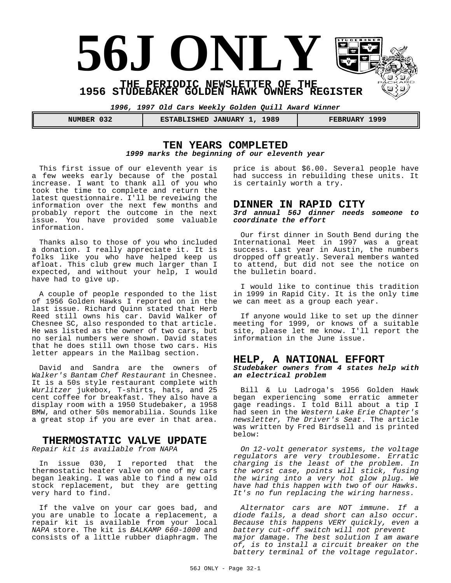# **56J ONLY THE PERIODIC NEWSLETTER OF THE 1956 STUDEBAKER GOLDEN HAWK OWNERS REGISTER**

**1996, 1997 Old Cars Weekly Golden Quill Award Winner**

 **NUMBER 032 ESTABLISHED JANUARY 1, 1989 FEBRUARY 1999**

#### **TEN YEARS COMPLETED 1999 marks the beginning of our eleventh year**

This first issue of our eleventh year is a few weeks early because of the postal increase. I want to thank all of you who took the time to complete and return the latest questionnaire. I'll be reveiwing the information over the next few months and probably report the outcome in the next issue. You have provided some valuable information.

Thanks also to those of you who included a donation. I really appreciate it. It is folks like you who have helped keep us afloat. This club grew much larger than I expected, and without your help, I would have had to give up.

A couple of people responded to the list of 1956 Golden Hawks I reported on in the last issue. Richard Quinn stated that Herb Reed still owns his car. David Walker of Chesnee SC, also responded to that article. He was listed as the owner of two cars, but no serial numbers were shown. David states that he does still own those two cars. His letter appears in the Mailbag section.

David and Sandra are the owners of Walker's Bantam Chef Restaurant in Chesnee. It is a 50s style restaurant complete with Wurlitzer jukebox, T-shirts, hats, and 25 cent coffee for breakfast. They also have a display room with a 1950 Studebaker, a 1958 BMW, and other 50s memorabilia. Sounds like a great stop if you are ever in that area.

#### **THERMOSTATIC VALVE UPDATE**

Repair kit is available from NAPA

In issue 030, I reported that the thermostatic heater valve on one of my cars began leaking. I was able to find a new old stock replacement, but they are getting very hard to find.

If the valve on your car goes bad, and you are unable to locate a replacement, a repair kit is available from your local NAPA store. The kit is BALKAMP 660-1000 and consists of a little rubber diaphragm. The

price is about \$6.00. Several people have had success in rebuilding these units. It is certainly worth a try.

#### **DINNER IN RAPID CITY**

**3rd annual 56J dinner needs someone to coordinate the effort**

Our first dinner in South Bend during the International Meet in 1997 was a great success. Last year in Austin, the numbers dropped off greatly. Several members wanted to attend, but did not see the notice on the bulletin board.

I would like to continue this tradition in 1999 in Rapid City. It is the only time we can meet as a group each year.

If anyone would like to set up the dinner meeting for 1999, or knows of a suitable site, please let me know. I'll report the information in the June issue.

#### **HELP, A NATIONAL EFFORT Studebaker owners from 4 states help with an electrical problem**

Bill & Lu Ladroga's 1956 Golden Hawk began experiencing some erratic ammeter gage readings. I told Bill about a tip I had seen in the Western Lake Erie Chapter's newsletter, The Driver's Seat. The article was written by Fred Birdsell and is printed below:

On 12-volt generator systems, the voltage regulators are very troublesome. Erratic charging is the least of the problem. In the worst case, points will stick, fusing the wiring into a very hot glow plug. We have had this happen with two of our Hawks. It's no fun replacing the wiring harness.

Alternator cars are NOT immune. If a diode fails, a dead short can also occur. Because this happens VERY quickly, even a battery cut-off switch will not prevent major damage. The best solution I am aware of, is to install a circuit breaker on the battery terminal of the voltage regulator.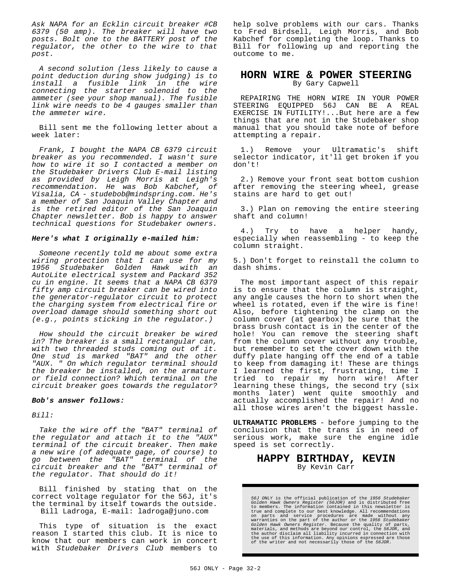Ask NAPA for an Ecklin circuit breaker #CB 6379 (50 amp). The breaker will have two posts. Bolt one to the BATTERY post of the regulator, the other to the wire to that post.

A second solution (less likely to cause a point deduction during show judging) is to install a fusible link in the wire connecting the starter solenoid to the ammeter (see your shop manual). The fusible link wire needs to be 4 gauges smaller than the ammeter wire.

Bill sent me the following letter about a week later:

Frank, I bought the NAPA CB 6379 circuit breaker as you recommended. I wasn't sure how to wire it so I contacted a member on the Studebaker Drivers Club E-mail listing as provided by Leigh Morris at Leigh's recommendation. He was Bob Kabchef, of Visalia, CA - studebob@mindspring.com. He's a member of San Joaquin Valley Chapter and is the retired editor of the San Joaquin Chapter newsletter. Bob is happy to answer technical questions for Studebaker owners.

#### **Here's what I originally e-mailed him:**

Someone recently told me about some extra wiring protection that I can use for my 1956 Studebaker Golden Hawk with an AutoLite electrical system and Packard 352 cu in engine. It seems that a NAPA CB 6379 fifty amp circuit breaker can be wired into the generator-regulator circuit to protect the charging system from electrical fire or overload damage should something short out (e.g., points sticking in the regulator.)

How should the circuit breaker be wired in? The breaker is a small rectangular can, with two threaded studs coming out of it. One stud is marked "BAT" and the other "AUX. " On which regulator terminal should the breaker be installed, on the armature or field connection? Which terminal on the circuit breaker goes towards the regulator?

#### **Bob's answer follows:**

#### $B<sub>i</sub>11$ .

Take the wire off the "BAT" terminal of the regulator and attach it to the "AUX" terminal of the circuit breaker. Then make a new wire (of adequate gage, of course) to go between the "BAT" terminal of the circuit breaker and the "BAT" terminal of the regulator. That should do it!

Bill finished by stating that on the correct voltage regulator for the 56J, it's the terminal by itself towards the outside. Bill Ladroga, E-mail: ladroga@juno.com

This type of situation is the exact reason I started this club. It is nice to know that our members can work in concert with *Studebaker Drivers Club* members to help solve problems with our cars. Thanks to Fred Birdsell, Leigh Morris, and Bob Kabchef for completing the loop. Thanks to Bill for following up and reporting the outcome to me.

#### **HORN WIRE & POWER STEERING** By Gary Capwell

REPAIRING THE HORN WIRE IN YOUR POWER STEERING EQUIPPED 56J CAN BE A REAL EXERCISE IN FUTILITY!...But here are a few things that are not in the Studebaker shop manual that you should take note of before attempting a repair.

1.) Remove your Ultramatic's shift selector indicator, it'll get broken if you don't!

2.) Remove your front seat bottom cushion after removing the steering wheel, grease stains are hard to get out!

3.) Plan on removing the entire steering shaft and column!

4.) Try to have a helper handy, especially when reassembling - to keep the column straight.

5.) Don't forget to reinstall the column to dash shims.

The most important aspect of this repair is to ensure that the column is straight, any angle causes the horn to short when the wheel is rotated, even if the wire is fine! Also, before tightening the clamp on the column cover (at gearbox) be sure that the brass brush contact is in the center of the hole! You can remove the steering shaft from the column cover without any trouble, but remember to set the cover down with the duffy plate hanging off the end of a table to keep from damaging it! These are things I learned the first, frustrating, time I tried to repair my horn wire! After learning these things, the second try (six months later) went quite smoothly and actually accomplished the repair! And no all those wires aren't the biggest hassle.

**ULTRAMATIC PROBLEMS** - before jumping to the conclusion that the trans is in need of serious work, make sure the engine idle speed is set correctly.

#### **HAPPY BIRTHDAY, KEVIN** By Kevin Carr

56J ONLY is the official publication of the 1956 Studebaker<br>Golden Hawk Owners Register (56JOR) and is distributed free<br>to members. The information contained in this newsletter is<br>true and complete to our best knowledge. A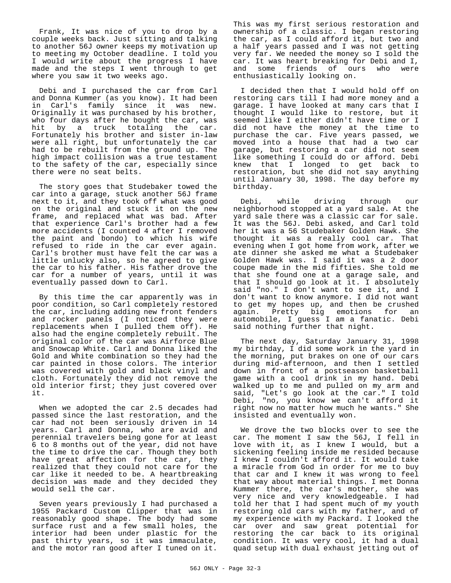Frank, It was nice of you to drop by a couple weeks back. Just sitting and talking to another 56J owner keeps my motivation up to meeting my October deadline. I told you I would write about the progress I have made and the steps I went through to get where you saw it two weeks ago.

Debi and I purchased the car from Carl and Donna Kummer (as you know). It had been in Carl's family since it was new. Originally it was purchased by his brother, who four days after he bought the car, was hit by a truck totaling the car. Fortunately his brother and sister in-law were all right, but unfortunately the car had to be rebuilt from the ground up. The high impact collision was a true testament to the safety of the car, especially since there were no seat belts.

The story goes that Studebaker towed the car into a garage, stuck another 56J frame next to it, and they took off what was good on the original and stuck it on the new frame, and replaced what was bad. After that experience Carl's brother had a few more accidents (I counted 4 after I removed the paint and bondo) to which his wife refused to ride in the car ever again. Carl's brother must have felt the car was a little unlucky also, so he agreed to give the car to his father. His father drove the car for a number of years, until it was eventually passed down to Carl.

By this time the car apparently was in poor condition, so Carl completely restored the car, including adding new front fenders and rocker panels (I noticed they were replacements when I pulled them off). He also had the engine completely rebuilt. The original color of the car was Airforce Blue and Snowcap White. Carl and Donna liked the Gold and White combination so they had the car painted in those colors. The interior was covered with gold and black vinyl and cloth. Fortunately they did not remove the old interior first; they just covered over it.

When we adopted the car 2.5 decades had passed since the last restoration, and the car had not been seriously driven in 14 years. Carl and Donna, who are avid and perennial travelers being gone for at least 6 to 8 months out of the year, did not have the time to drive the car. Though they both have great affection for the car, they realized that they could not care for the car like it needed to be. A heartbreaking decision was made and they decided they would sell the car.

Seven years previously I had purchased a 1955 Packard Custom Clipper that was in reasonably good shape. The body had some surface rust and a few small holes, the interior had been under plastic for the past thirty years, so it was immaculate, and the motor ran good after I tuned on it.

This was my first serious restoration and ownership of a classic. I began restoring the car, as I could afford it, but two and a half years passed and I was not getting very far. We needed the money so I sold the car. It was heart breaking for Debi and I, and some friends of ours who were enthusiastically looking on.

I decided then that I would hold off on restoring cars till I had more money and a garage. I have looked at many cars that I thought I would like to restore, but it seemed like I either didn't have time or I did not have the money at the time to purchase the car. Five years passed, we moved into a house that had a two car garage, but restoring a car did not seem like something I could do or afford. Debi knew that I longed to get back to restoration, but she did not say anything until January 30, 1998. The day before my birthday.

Debi, while driving through our neighborhood stopped at a yard sale. At the yard sale there was a classic car for sale. It was the 56J. Debi asked, and Carl told her it was a 56 Studebaker Golden Hawk. She thought it was a really cool car. That evening when I got home from work, after we ate dinner she asked me what a Studebaker Golden Hawk was. I said it was a 2 door coupe made in the mid fifties. She told me that she found one at a garage sale, and that I should go look at it. I absolutely said "no." I don't want to see it, and I don't want to know anymore. I did not want to get my hopes up, and then be crushed again. Pretty big emotions for an automobile, I guess I am a fanatic. Debi said nothing further that night.

The next day, Saturday January 31, 1998 my birthday, I did some work in the yard in the morning, put brakes on one of our cars during mid-afternoon, and then I settled down in front of a postseason basketball game with a cool drink in my hand. Debi walked up to me and pulled on my arm and said, "Let's go look at the car." I told Debi, "no, you know we can't afford it right now no matter how much he wants." She insisted and eventually won.

We drove the two blocks over to see the car. The moment I saw the 56J, I fell in love with it, as I knew I would, but a sickening feeling inside me resided because I knew I couldn't afford it. It would take a miracle from God in order for me to buy that car and I knew it was wrong to feel that way about material things. I met Donna Kummer there, the car's mother, she was very nice and very knowledgeable. I had told her that I had spent much of my youth restoring old cars with my father, and of my experience with my Packard. I looked the car over and saw great potential for restoring the car back to its original condition. It was very cool, it had a dual quad setup with dual exhaust jetting out of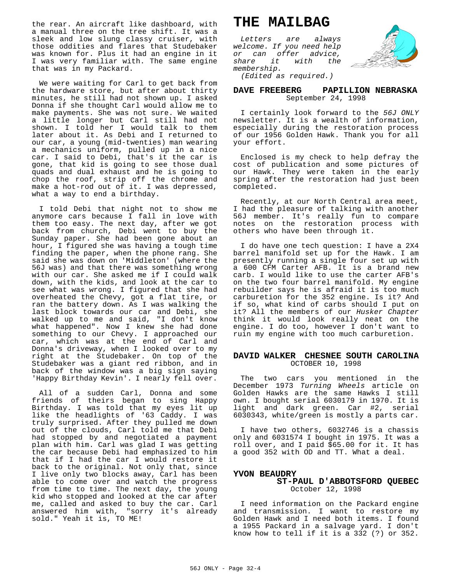the rear. An aircraft like dashboard, with a manual three on the tree shift. It was a sleek and low slung classy cruiser, with those oddities and flares that Studebaker was known for. Plus it had an engine in it I was very familiar with. The same engine that was in my Packard.

We were waiting for Carl to get back from the hardware store, but after about thirty minutes, he still had not shown up. I asked Donna if she thought Carl would allow me to make payments. She was not sure. We waited a little longer but Carl still had not shown. I told her I would talk to them later about it. As Debi and I returned to our car, a young (mid-twenties) man wearing a mechanics uniform, pulled up in a nice car. I said to Debi, that's it the car is gone, that kid is going to see those dual quads and dual exhaust and he is going to chop the roof, strip off the chrome and make a hot-rod out of it. I was depressed, what a way to end a birthday.

I told Debi that night not to show me anymore cars because I fall in love with them too easy. The next day, after we got back from church, Debi went to buy the Sunday paper. She had been gone about an hour, I figured she was having a tough time finding the paper, when the phone rang. She said she was down on 'Middleton' (where the 56J was) and that there was something wrong with our car. She asked me if I could walk down, with the kids, and look at the car to see what was wrong. I figured that she had overheated the Chevy, got a flat tire, or ran the battery down. As I was walking the last block towards our car and Debi, she walked up to me and said, "I don't know what happened". Now I knew she had done something to our Chevy. I approached our car, which was at the end of Carl and Donna's driveway, when I looked over to my right at the Studebaker. On top of the Studebaker was a giant red ribbon, and in back of the window was a big sign saying 'Happy Birthday Kevin'. I nearly fell over.

All of a sudden Carl, Donna and some friends of theirs began to sing Happy Birthday. I was told that my eyes lit up like the headlights of '63 Caddy. I was truly surprised. After they pulled me down out of the clouds, Carl told me that Debi had stopped by and negotiated a payment plan with him. Carl was glad I was getting the car because Debi had emphasized to him that if I had the car I would restore it back to the original. Not only that, since I live only two blocks away, Carl has been able to come over and watch the progress from time to time. The next day, the young kid who stopped and looked at the car after me, called and asked to buy the car. Carl answered him with, "sorry it's already sold." Yeah it is, TO ME!



Letters are always welcome. If you need help or can offer advice, share it with the membership.



(Edited as required.)

#### **DAVE FREEBERG PAPILLION NEBRASKA** September 24, 1998

I certainly look forward to the 56J ONLY newsletter. It is a wealth of information, especially during the restoration process of our 1956 Golden Hawk. Thank you for all your effort.

Enclosed is my check to help defray the cost of publication and some pictures of our Hawk. They were taken in the early spring after the restoration had just been completed.

Recently, at our North Central area meet, I had the pleasure of talking with another 56J member. It's really fun to compare notes on the restoration process with others who have been through it.

I do have one tech question: I have a 2X4 barrel manifold set up for the Hawk. I am presently running a single four set up with a 600 CFM Carter AFB. It is a brand new carb. I would like to use the carter AFB's on the two four barrel manifold. My engine rebuilder says he is afraid it is too much carburetion for the 352 engine. Is it? And if so, what kind of carbs should I put on it? All the members of our Husker Chapter think it would look really neat on the engine. I do too, however I don't want to ruin my engine with too much carburetion.

#### **DAVID WALKER CHESNEE SOUTH CAROLINA** OCTOBER 10, 1998

The two cars you mentioned in the December 1973 Turning Wheels article on Golden Hawks are the same Hawks I still own. I bought serial 6030179 in 1970. It is light and dark green. Car #2, serial 6030343, white/green is mostly a parts car.

I have two others, 6032746 is a chassis only and 6031574 I bought in 1975. It was a roll over, and I paid \$65.00 for it. It has a good 352 with OD and TT. What a deal.

#### **YVON BEAUDRY ST-PAUL D'ABBOTSFORD QUEBEC** October 12, 1998

I need information on the Packard engine and transmission. I want to restore my Golden Hawk and I need both items. I found a 1955 Packard in a salvage yard. I don't know how to tell if it is a 332 (?) or 352.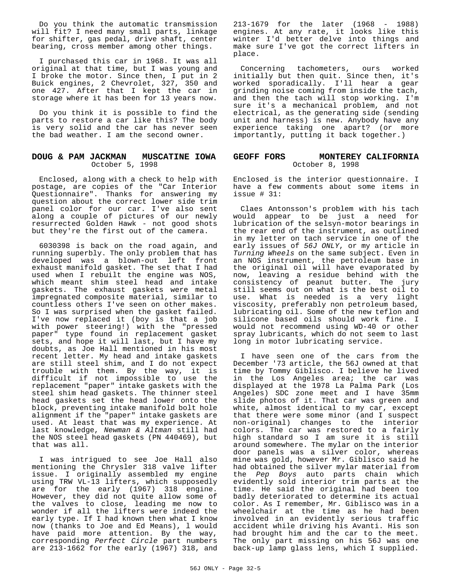Do you think the automatic transmission will fit? I need many small parts, linkage for shifter, gas pedal, drive shaft, center bearing, cross member among other things.

I purchased this car in 1968. It was all original at that time, but I was young and I broke the motor. Since then, I put in 2 Buick engines, 2 Chevrolet, 327, 350 and one 427. After that I kept the car in storage where it has been for 13 years now.

Do you think it is possible to find the parts to restore a car like this? The body is very solid and the car has never seen the bad weather. I am the second owner.

#### **DOUG & PAM JACKMAN MUSCATINE IOWA** October 5, 1998

Enclosed, along with a check to help with postage, are copies of the "Car Interior Questionnaire". Thanks for answering my question about the correct lower side trim panel color for our car. I've also sent along a couple of pictures of our newly resurrected Golden Hawk - not good shots but they're the first out of the camera.

6030398 is back on the road again, and running superbly. The only problem that has developed was a blown-out left front exhaust manifold gasket. The set that I had used when I rebuilt the engine was NOS, which meant shim steel head and intake gaskets. The exhaust gaskets were metal impregnated composite material, similar to countless others I've seen on other makes. So I was surprised when the gasket failed. I've now replaced it (boy is that a job with power steering!) with the "pressed paper" type found in replacement gasket sets, and hope it will last, but I have my doubts, as Joe Hall mentioned in his most recent letter. My head and intake gaskets are still steel shim, and I do not expect trouble with them. By the way, it is difficult if not impossible to use the replacement "paper" intake gaskets with the steel shim head gaskets. The thinner steel head gaskets set the head lower onto the block, preventing intake manifold bolt hole alignment if the "paper" intake gaskets are used. At least that was my experience. At last knowledge, Newman & Altman still had the NOS steel head gaskets (PN 440469), but that was all.

I was intrigued to see Joe Hall also mentioning the Chrysler 318 valve lifter issue. I originally assembled my engine using TRW VL-13 lifters, which supposedly are for the early (1967) 318 engine. However, they did not quite allow some of the valves to close, leading me now to wonder if all the lifters were indeed the early type. If I had known then what I know now (thanks to Joe and Ed Means), l would have paid more attention. By the way, corresponding Perfect Circle part numbers are 213-1662 for the early (1967) 318, and 213-1679 for the later (1968 - 1988) engines. At any rate, it looks like this winter I'd better delve into things and make sure I've got the correct lifters in place.

Concerning tachometers, ours worked initially but then quit. Since then, it's worked sporadically. I'll hear a gear grinding noise coming from inside the tach, and then the tach will stop working. I'm sure it's a mechanical problem, and not electrical, as the generating side (sending unit and harness) is new. Anybody have any experience taking one apart? (or more importantly, putting it back together.)

#### **GEOFF FORS MONTEREY CALIFORNIA** October 8, 1998

Enclosed is the interior questionnaire. I have a few comments about some items in issue # 31:

Claes Antonsson's problem with his tach would appear to be just a need for lubrication of the selsyn-motor bearings in the rear end of the instrument, as outlined in my letter on tach service in one of the early issues of 56J ONLY, or my article in Turning Wheels on the same subject. Even in an NOS instrument, the petroleum base in the original oil will have evaporated by now, leaving a residue behind with the consistency of peanut butter. The jury still seems out on what is the best oil to use. What is needed is a very light viscosity, preferably non petroleum based, lubricating oil. Some of the new teflon and silicone based oils should work fine. I would not recommend using WD-40 or other spray lubricants, which do not seem to last long in motor lubricating service.

I have seen one of the cars from the December '73 article, the 56J owned at that time by Tommy Giblisco. I believe he lived in the Los Angeles area; the car was displayed at the 1978 La Palma Park (Los Angeles) SDC zone meet and I have 35mm slide photos of it. That car was green and white, almost identical to my car, except that there were some minor (and I suspect non-original) changes to the interior colors. The car was restored to a fairly high standard so I am sure it is still around somewhere. The mylar on the interior door panels was a silver color, whereas mine was gold, however Mr. Giblisco said he had obtained the silver mylar material from the Pep Boys auto parts chain which evidently sold interior trim parts at the time. He said the original had been too badly deteriorated to determine its actual color. As I remember, Mr. Giblisco was in a wheelchair at the time as he had been involved in an evidently serious traffic accident while driving his Avanti. His son had brought him and the car to the meet. The only part missing on his 56J was one back-up lamp glass lens, which I supplied.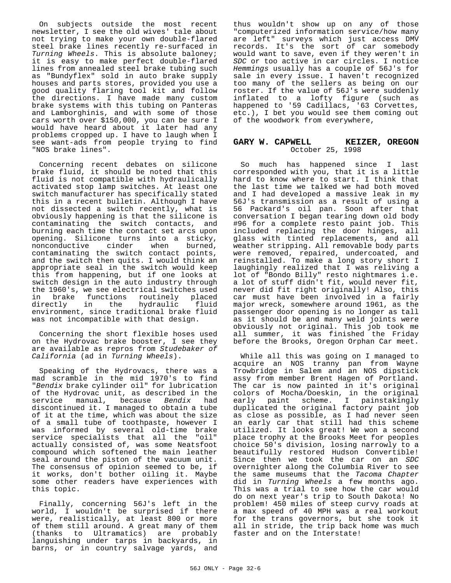On subjects outside the most recent newsletter, I see the old wives' tale about not trying to make your own double-flared steel brake lines recently re-surfaced in Turning Wheels. This is absolute baloney; it is easy to make perfect double-flared lines from annealed steel brake tubing such as "Bundyflex" sold in auto brake supply houses and parts stores, provided you use a good quality flaring tool kit and follow the directions. I have made many custom brake systems with this tubing on Panteras and Lamborghinis, and with some of those cars worth over \$150,000, you can be sure I would have heard about it later had any problems cropped up. I have to laugh when I see want-ads from people trying to find "NOS brake lines".

Concerning recent debates on silicone brake fluid, it should be noted that this fluid is not compatible with hydraulically activated stop lamp switches. At least one switch manufacturer has specifically stated this in a recent bulletin. Although I have not dissected a switch recently, what is obviously happening is that the silicone is contaminating the switch contacts, and burning each time the contact set arcs upon opening. Silicone turns into a sticky,<br>nonconductive cinder when burned, nonconductive cinder contaminating the switch contact points, and the switch then quits. I would think an appropriate seal in the switch would keep this from happening, but if one looks at switch design in the auto industry through the 1960's, we see electrical switches used in brake functions routinely placed directly in the hydraulic fluid environment, since traditional brake fluid was not incompatible with that design.

Concerning the short flexible hoses used on the Hydrovac brake booster, I see they are available as repros from Studebaker of California (ad in Turning Wheels).

Speaking of the Hydrovacs, there was a mad scramble in the mid 1970's to find "Bendix brake cylinder oil" for lubrication of the Hydrovac unit, as described in the service manual, because Bendix had discontinued it. I managed to obtain a tube of it at the time, which was about the size of a small tube of toothpaste, however I was informed by several old-time brake service specialists that all the "oil" actually consisted of, was some Neatsfoot compound which softened the main leather seal around the piston of the vacuum unit. The consensus of opinion seemed to be, if it works, don't bother oiling it. Maybe some other readers have experiences with this topic.

Finally, concerning 56J's left in the world, I wouldn't be surprised if there were, realistically, at least 800 or more of them still around. A great many of them (thanks to Ultramatics) are probably languishing under tarps in backyards, in barns, or in country salvage yards, and thus wouldn't show up on any of those "computerized information service/how many are left" surveys which just access DMV records. It's the sort of car somebody would want to save, even if they weren't in SDC or too active in car circles. I notice Hemmings usually has a couple of 56J's for sale in every issue. I haven't recognized too many of the sellers as being on our roster. If the value of 56J's were suddenly inflated to a lofty figure (such as happened to '59 Cadillacs, '63 Corvettes, etc.), I bet you would see them coming out of the woodwork from everywhere,

#### **GARY W. CAPWELL KEIZER, OREGON** October 25, 1998

So much has happened since I last corresponded with you, that it is a little hard to know where to start. I think that the last time we talked we had both moved and I had developed a massive leak in my 56J's transmission as a result of using a 56 Packard's oil pan. Soon after that conversation I began tearing down old body #96 for a complete resto paint job. This included replacing the door hinges, all glass with tinted replacements, and all weather stripping. All removable body parts were removed, repaired, undercoated, and reinstalled. To make a long story short I laughingly realized that I was reliving a lot of "Bondo Billy" resto nightmares i.e. a lot of stuff didn't fit, would never fit, never did fit right originally! Also, this car must have been involved in a fairly major wreck, somewhere around 1961, as the passenger door opening is no longer as tall as it should be and many weld joints were obviously not original. This job took me all summer, it was finished the Friday before the Brooks, Oregon Orphan Car meet.

While all this was going on I managed to acquire an NOS tranny pan from Wayne Trowbridge in Salem and an NOS dipstick assy from member Brent Hagen of Portland. The car is now painted in it's original colors of Mocha/Doeskin, in the original early paint scheme. I painstakingly duplicated the original factory paint job as close as possible, as I had never seen an early car that still had this scheme utilized. It looks great! We won a second place trophy at the Brooks Meet for peoples choice 50's division, losing narrowly to a beautifully restored Hudson Convertible! Since then we took the car on an SDC overnighter along the Columbia River to see the same museums that the Tacoma Chapter did in Turning Wheels a few months ago. This was a trial to see how the car would do on next year's trip to South Dakota! No problem! 450 miles of steep curvy roads at a max speed of 40 MPH was a real workout for the trans governors, but she took it all in stride, the trip back home was much faster and on the Interstate!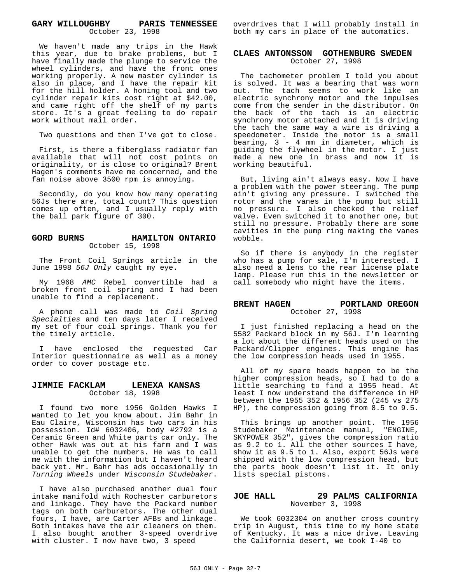#### **GARY WILLOUGHBY PARIS TENNESSEE** October 23, 1998

We haven't made any trips in the Hawk this year, due to brake problems, but I have finally made the plunge to service the wheel cylinders, and have the front ones working properly. A new master cylinder is also in place, and I have the repair kit for the hill holder. A honing tool and two cylinder repair kits cost right at \$42.00, and came right off the shelf of my parts store. It's a great feeling to do repair work without mail order.

Two questions and then I've got to close.

First, is there a fiberglass radiator fan available that will not cost points on originality, or is close to original? Brent Hagen's comments have me concerned, and the fan noise above 3500 rpm is annoying.

Secondly, do you know how many operating 56Js there are, total count? This question comes up often, and I usually reply with the ball park figure of 300.

#### **GORD BURNS HAMILTON ONTARIO** October 15, 1998

The Front Coil Springs article in the June 1998 56J Only caught my eye.

My 1968 AMC Rebel convertible had a broken front coil spring and I had been unable to find a replacement.

A phone call was made to Coil Spring Specialties and ten days later I received my set of four coil springs. Thank you for the timely article.

I have enclosed the requested Car Interior questionnaire as well as a money order to cover postage etc.

#### **JIMMIE FACKLAM LENEXA KANSAS** October 18, 1998

I found two more 1956 Golden Hawks I wanted to let you know about. Jim Bahr in Eau Claire, Wisconsin has two cars in his possession. Id# 6032406, body #2792 is a Ceramic Green and White parts car only. The other Hawk was out at his farm and I was unable to get the numbers. He was to call me with the information but I haven't heard back yet. Mr. Bahr has ads occasionally in Turning Wheels under Wisconsin Studebaker.

I have also purchased another dual four intake manifold with Rochester carburetors and linkage. They have the Packard number tags on both carburetors. The other dual fours, I have, are Carter AFBs and linkage. Both intakes have the air cleaners on them. I also bought another 3-speed overdrive with cluster. I now have two, 3 speed

overdrives that I will probably install in both my cars in place of the automatics.

#### **CLAES ANTONSSON GOTHENBURG SWEDEN** October 27, 1998

The tachometer problem I told you about is solved. It was a bearing that was worn out. The tach seems to work like an electric synchrony motor and the impulses come from the sender in the distributor. On the back of the tach is an electric synchrony motor attached and it is driving the tach the same way a wire is driving a speedometer. Inside the motor is a small bearing, 3 - 4 mm in diameter, which is guiding the flywheel in the motor. I just made a new one in brass and now it is working beautiful.

But, living ain't always easy. Now I have a problem with the power steering. The pump ain't giving any pressure. I switched the rotor and the vanes in the pump but still no pressure. I also checked the relief valve. Even switched it to another one, but still no pressure. Probably there are some cavities in the pump ring making the vanes wobble.

So if there is anybody in the register who has a pump for sale, I'm interested. I also need a lens to the rear license plate lamp. Please run this in the newsletter or call somebody who might have the items.

#### **BRENT HAGEN PORTLAND OREGON** October 27, 1998

I just finished replacing a head on the 5582 Packard block in my 56J. I'm learning a lot about the different heads used on the Packard/Clipper engines. This engine has the low compression heads used in 1955.

All of my spare heads happen to be the higher compression heads, so I had to do a little searching to find a 1955 head. At least I now understand the difference in HP between the 1955 352 & 1956 352 (245 vs 275 HP), the compression going from 8.5 to 9.5.

This brings up another point. The 1956<br>cudebaker Maintenance manual, "ENGINE, Studebaker Maintenance manual, SKYPOWER 352", gives the compression ratio as 9.2 to 1. All the other sources I have, show it as 9.5 to 1. Also, export 56Js were shipped with the low compression head, but the parts book doesn't list it. It only lists special pistons.

#### **JOE HALL 29 PALMS CALIFORNIA** November 3, 1998

We took 6032304 on another cross country trip in August, this time to my home state of Kentucky. It was a nice drive. Leaving the California desert, we took I-40 to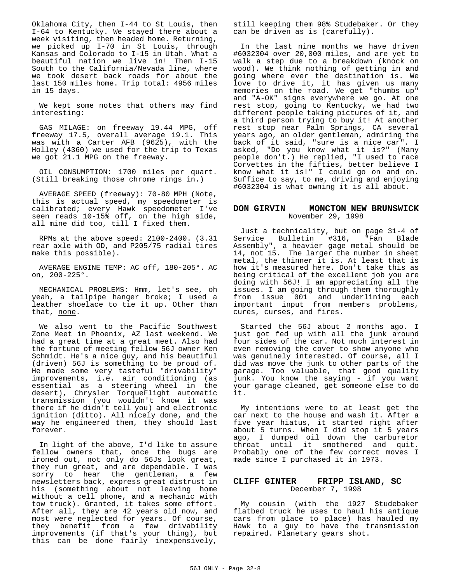Oklahoma City, then I-44 to St Louis, then I-64 to Kentucky. We stayed there about a week visiting, then headed home. Returning, we picked up I-70 in St Louis, through Kansas and Colorado to I-15 in Utah. What a beautiful nation we live in! Then I-15 South to the California/Nevada line, where we took desert back roads for about the last 150 miles home. Trip total: 4956 miles in 15 days.

We kept some notes that others may find interesting:

GAS MILAGE: on freeway 19.44 MPG, off freeway 17.5, overall average 19.1. This was with a Carter AFB (9625), with the Holley (4360) we used for the trip to Texas we got 21.1 MPG on the freeway.

OIL CONSUMPTION: 1700 miles per quart. (Still breaking those chrome rings in.)

AVERAGE SPEED (freeway): 70-80 MPH (Note, this is actual speed, my speedometer is calibrated; every Hawk speedometer I've seen reads 10-15% off, on the high side, all mine did too, till I fixed them.

RPMs at the above speed: 2100-2400. (3.31 rear axle with OD, and P205/75 radial tires make this possible).

AVERAGE ENGINE TEMP: AC off, 180-205°. AC on, 200-225°.

MECHANICAL PROBLEMS: Hmm, let's see, oh yeah, a tailpipe hanger broke; I used a leather shoelace to tie it up. Other than that, none.

We also went to the Pacific Southwest Zone Meet in Phoenix, AZ last weekend. We had a great time at a great meet. Also had the fortune of meeting fellow 56J owner Ken Schmidt. He's a nice guy, and his beautiful (driven) 56J is something to be proud of. He made some very tasteful "drivability" improvements, i.e. air conditioning (as essential as a steering wheel in the desert), Chrysler TorqueFlight automatic transmission (you wouldn't know it was there if he didn't tell you) and electronic ignition (ditto). All nicely done, and the way he engineered them, they should last forever.

In light of the above, I'd like to assure fellow owners that, once the bugs are ironed out, not only do 56Js look great, they run great, and are dependable. I was sorry to hear the gentleman, a few newsletters back, express great distrust in his (something about not leaving home without a cell phone, and a mechanic with tow truck). Granted, it takes some effort. After all, they are 42 years old now, and most were neglected for years. Of course, they benefit from a few drivability improvements (if that's your thing), but this can be done fairly inexpensively,

still keeping them 98% Studebaker. Or they can be driven as is (carefully).

In the last nine months we have driven #6032304 over 20,000 miles, and are yet to walk a step due to a breakdown (knock on wood). We think nothing of getting in and going where ever the destination is. We love to drive it, it has given us many memories on the road. We get "thumbs up" and "A-OK" signs everywhere we go. At one rest stop, going to Kentucky, we had two different people taking pictures of it, and a third person trying to buy it! At another rest stop near Palm Springs, CA several years ago, an older gentleman, admiring the back of it said, "sure is a nice car". I asked, "Do you know what it is?" (Many people don't.) He replied, "I used to race Corvettes in the fifties, better believe I know what it is!" I could go on and on. Suffice to say, to me, driving and enjoying #6032304 is what owning it is all about.

#### **DON GIRVIN MONCTON NEW BRUNSWICK** November 29, 1998

Just a technicality, but on page 31-4 of Service Bulletin #316, "Fan Blade Assembly", a heavier gage metal should be 14, not 15. The larger the number in sheet metal, the thinner it is. At least that is how it's measured here. Don't take this as being critical of the excellent job you are doing with 56J! I am appreciating all the issues. I am going through them thoroughly from issue 001 and underlining each important input from members problems, cures, curses, and fires.

Started the 56J about 2 months ago. I just got fed up with all the junk around four sides of the car. Not much interest in even removing the cover to show anyone who was genuinely interested. Of course, all I did was move the junk to other parts of the garage. Too valuable, that good quality junk. You know the saying - if you want your garage cleaned, get someone else to do it.

My intentions were to at least get the car next to the house and wash it. After a five year hiatus, it started right after about 5 turns. When I did stop it 5 years ago, I dumped oil down the carburetor throat until it smothered and quit. Probably one of the few correct moves I made since I purchased it in 1973.

#### **CLIFF GINTER FRIPP ISLAND, SC** December 7, 1998

My cousin (with the 1927 Studebaker flatbed truck he uses to haul his antique cars from place to place) has hauled my Hawk to a guy to have the transmission repaired. Planetary gears shot.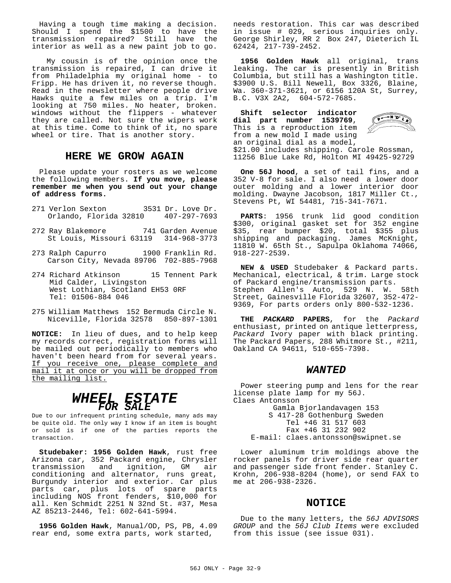Having a tough time making a decision. Should I spend the \$1500 to have the transmission repaired? Still have the interior as well as a new paint job to go.

My cousin is of the opinion once the transmission is repaired, I can drive it from Philadelphia my original home - to Fripp. He has driven it, no reverse though. Read in the newsletter where people drive Hawks quite a few miles on a trip. I'm looking at 750 miles. No heater, broken. windows without the flippers - whatever they are called. Not sure the wipers work at this time. Come to think of it, no spare wheel or tire. That is another story.

#### **HERE WE GROW AGAIN**

Please update your rosters as we welcome the following members. **If you move, please remember me when you send out your change of address forms.**

- 271 Verlon Sexton 3531 Dr. Love Dr. Orlando, Florida 32810
- 272 Ray Blakemore 741 Garden Avenue St Louis, Missouri 63119 314-968-3773
- 273 Ralph Capurro 1900 Franklin Rd. Carson City, Nevada 89706 702-885-7968
- 274 Richard Atkinson 15 Tennent Park Mid Calder, Livingston West Lothian, Scotland EH53 0RF Tel: 01506-884 046
- 275 William Matthews 152 Bermuda Circle N. Niceville, Florida 32578 850-897-1301

**NOTICE:** In lieu of dues, and to help keep my records correct, registration forms will be mailed out periodically to members who haven't been heard from for several years. If you receive one, please complete and mail it at once or you will be dropped from the mailing list.

### **WHEEL ESTATE FOR SALE**

Due to our infrequent printing schedule, many ads may be quite old. The only way I know if an item is bought or sold is if one of the parties reports the transaction.

**Studebaker: 1956 Golden Hawk**, rust free Arizona car, 352 Packard engine, Chrysler transmission and ignition, GM air conditioning and alternator, runs great, Burgundy interior and exterior. Car plus parts car, plus lots of spare parts including NOS front fenders, \$10,000 for all. Ken Schmidt 2251 N 32nd St. #37, Mesa AZ 85213-2446, Tel: 602-641-5994.

**1956 Golden Hawk**, Manual/OD, PS, PB, 4.09 rear end, some extra parts, work started,

needs restoration. This car was described in issue # 029, serious inquiries only. George Shirley, RR 2 Box 247, Dieterich IL 62424, 217-739-2452.

**1956 Golden Hawk** all original, trans leaking. The car is presently in British Columbia, but still has a Washington title. \$3900 U.S. Bill Newell, Box 3326, Blaine, Wa. 360-371-3621, or 6156 120A St, Surrey, B.C. V3X 2A2, 604-572-7685.

**Shift selector indicator dial part number 1539769**, This is a reproduction item from a new mold I made using an original dial as a model,



\$21.00 includes shipping. Carole Rossman, 11256 Blue Lake Rd, Holton MI 49425-92729

**One 56J hood**, a set of tail fins, and a 352 V-8 for sale. I also need a lower door outer molding and a lower interior door molding. Dwayne Jacobson, 1817 Miller Ct., Stevens Pt, WI 54481, 715-341-7671.

**PARTS**: 1956 trunk lid good condition \$300, original gasket set for 352 engine \$35, rear bumper \$20, total \$355 plus shipping and packaging. James McKnight, 11810 W. 65th St., Sapulpa Oklahoma 74066, 918-227-2539.

**NEW & USED** Studebaker & Packard parts. Mechanical, electrical, & trim. Large stock of Packard engine/transmission parts. Stephen Allen's Auto, 529 N. W. 58th Street, Gainesville Florida 32607, 352-472- 9369, For parts orders only 800-532-1236.

**THE PACKARD PAPERS**, for the Packard enthusiast, printed on antique letterpress, Packard Ivory paper with black printing. The Packard Papers, 288 Whitmore St., #211, Oakland CA 94611, 510-655-7398.

#### **WANTED**

Power steering pump and lens for the rear license plate lamp for my 56J. Claes Antonsson

Gamla Bjorlandavagen 153 S 417-28 Gothenburg Sweden Tel +46 31 517 603 Fax +46 31 232 902 E-mail: claes.antonsson@swipnet.se

Lower aluminum trim moldings above the rocker panels for driver side rear quarter and passenger side front fender. Stanley C. Krohn, 206-938-8204 (home), or send FAX to me at 206-938-2326.

#### **NOTICE**

Due to the many letters, the 56J ADVISORS GROUP and the 56J Club Items were excluded from this issue (see issue 031).